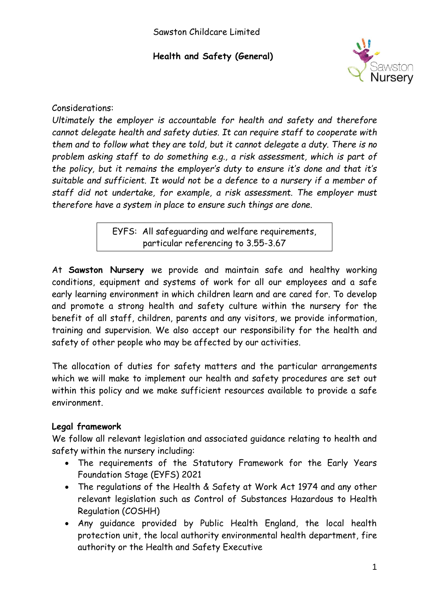

#### Considerations:

*Ultimately the employer is accountable for health and safety and therefore cannot delegate health and safety duties. It can require staff to cooperate with them and to follow what they are told, but it cannot delegate a duty. There is no problem asking staff to do something e.g., a risk assessment, which is part of the policy, but it remains the employer's duty to ensure it's done and that it's suitable and sufficient. It would not be a defence to a nursery if a member of staff did not undertake, for example, a risk assessment. The employer must therefore have a system in place to ensure such things are done.*

> EYFS: All safeguarding and welfare requirements, particular referencing to 3.55-3.67

At **Sawston Nursery** we provide and maintain safe and healthy working conditions, equipment and systems of work for all our employees and a safe early learning environment in which children learn and are cared for. To develop and promote a strong health and safety culture within the nursery for the benefit of all staff, children, parents and any visitors, we provide information, training and supervision. We also accept our responsibility for the health and safety of other people who may be affected by our activities.

The allocation of duties for safety matters and the particular arrangements which we will make to implement our health and safety procedures are set out within this policy and we make sufficient resources available to provide a safe environment.

### **Legal framework**

We follow all relevant legislation and associated guidance relating to health and safety within the nursery including:

- The requirements of the Statutory Framework for the Early Years Foundation Stage (EYFS) 2021
- The regulations of the Health & Safety at Work Act 1974 and any other relevant legislation such as Control of Substances Hazardous to Health Regulation (COSHH)
- Any guidance provided by Public Health England, the local health protection unit, the local authority environmental health department, fire authority or the Health and Safety Executive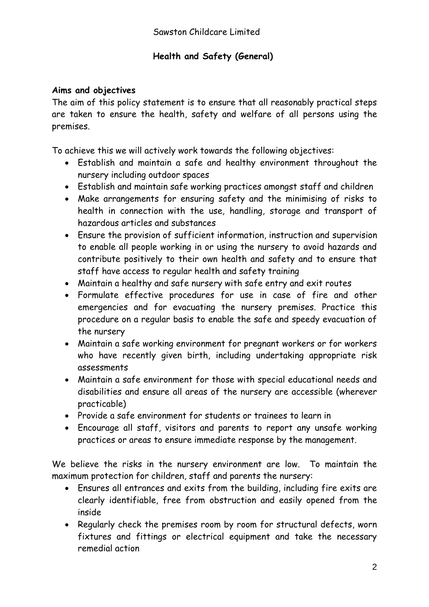#### **Aims and objectives**

The aim of this policy statement is to ensure that all reasonably practical steps are taken to ensure the health, safety and welfare of all persons using the premises.

To achieve this we will actively work towards the following objectives:

- Establish and maintain a safe and healthy environment throughout the nursery including outdoor spaces
- Establish and maintain safe working practices amongst staff and children
- Make arrangements for ensuring safety and the minimising of risks to health in connection with the use, handling, storage and transport of hazardous articles and substances
- Ensure the provision of sufficient information, instruction and supervision to enable all people working in or using the nursery to avoid hazards and contribute positively to their own health and safety and to ensure that staff have access to regular health and safety training
- Maintain a healthy and safe nursery with safe entry and exit routes
- Formulate effective procedures for use in case of fire and other emergencies and for evacuating the nursery premises. Practice this procedure on a regular basis to enable the safe and speedy evacuation of the nursery
- Maintain a safe working environment for pregnant workers or for workers who have recently given birth, including undertaking appropriate risk assessments
- Maintain a safe environment for those with special educational needs and disabilities and ensure all areas of the nursery are accessible (wherever practicable)
- Provide a safe environment for students or trainees to learn in
- Encourage all staff, visitors and parents to report any unsafe working practices or areas to ensure immediate response by the management.

We believe the risks in the nursery environment are low. To maintain the maximum protection for children, staff and parents the nursery:

- Ensures all entrances and exits from the building, including fire exits are clearly identifiable, free from obstruction and easily opened from the inside
- Regularly check the premises room by room for structural defects, worn fixtures and fittings or electrical equipment and take the necessary remedial action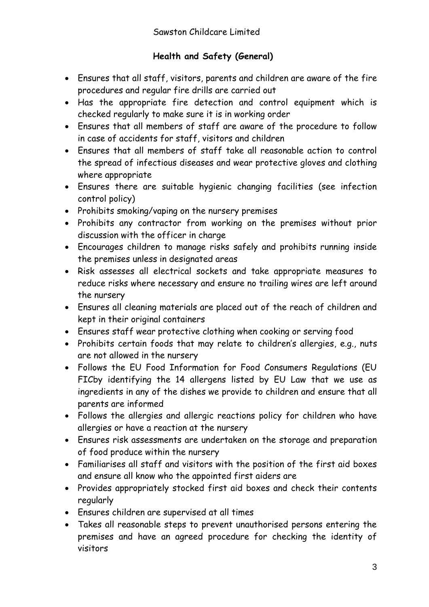- Ensures that all staff, visitors, parents and children are aware of the fire procedures and regular fire drills are carried out
- Has the appropriate fire detection and control equipment which is checked regularly to make sure it is in working order
- Ensures that all members of staff are aware of the procedure to follow in case of accidents for staff, visitors and children
- Ensures that all members of staff take all reasonable action to control the spread of infectious diseases and wear protective gloves and clothing where appropriate
- Ensures there are suitable hygienic changing facilities (see infection control policy)
- Prohibits smoking/vaping on the nursery premises
- Prohibits any contractor from working on the premises without prior discussion with the officer in charge
- Encourages children to manage risks safely and prohibits running inside the premises unless in designated areas
- Risk assesses all electrical sockets and take appropriate measures to reduce risks where necessary and ensure no trailing wires are left around the nursery
- Ensures all cleaning materials are placed out of the reach of children and kept in their original containers
- Ensures staff wear protective clothing when cooking or serving food
- Prohibits certain foods that may relate to children's allergies, e.g., nuts are not allowed in the nursery
- Follows the EU Food Information for Food Consumers Regulations (EU FICby identifying the 14 allergens listed by EU Law that we use as ingredients in any of the dishes we provide to children and ensure that all parents are informed
- Follows the allergies and allergic reactions policy for children who have allergies or have a reaction at the nursery
- Ensures risk assessments are undertaken on the storage and preparation of food produce within the nursery
- Familiarises all staff and visitors with the position of the first aid boxes and ensure all know who the appointed first aiders are
- Provides appropriately stocked first aid boxes and check their contents regularly
- Ensures children are supervised at all times
- Takes all reasonable steps to prevent unauthorised persons entering the premises and have an agreed procedure for checking the identity of visitors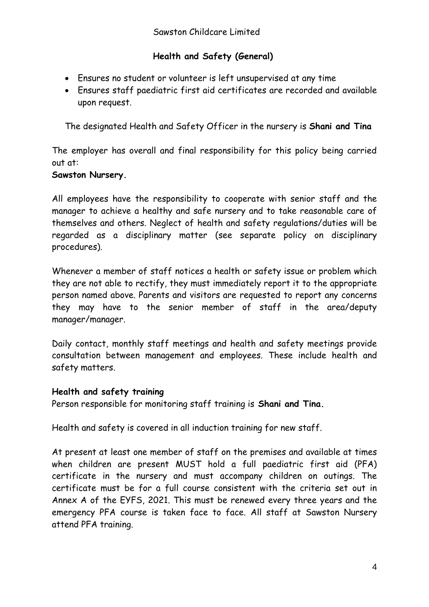- Ensures no student or volunteer is left unsupervised at any time
- Ensures staff paediatric first aid certificates are recorded and available upon request.

The designated Health and Safety Officer in the nursery is **Shani and Tina**

The employer has overall and final responsibility for this policy being carried out at:

#### **Sawston Nursery.**

All employees have the responsibility to cooperate with senior staff and the manager to achieve a healthy and safe nursery and to take reasonable care of themselves and others. Neglect of health and safety regulations/duties will be regarded as a disciplinary matter (see separate policy on disciplinary procedures).

Whenever a member of staff notices a health or safety issue or problem which they are not able to rectify, they must immediately report it to the appropriate person named above. Parents and visitors are requested to report any concerns they may have to the senior member of staff in the area/deputy manager/manager.

Daily contact, monthly staff meetings and health and safety meetings provide consultation between management and employees. These include health and safety matters.

### **Health and safety training**

Person responsible for monitoring staff training is **Shani and Tina.**

Health and safety is covered in all induction training for new staff.

At present at least one member of staff on the premises and available at times when children are present MUST hold a full paediatric first aid (PFA) certificate in the nursery and must accompany children on outings. The certificate must be for a full course consistent with the criteria set out in Annex A of the EYFS, 2021. This must be renewed every three years and the emergency PFA course is taken face to face. All staff at Sawston Nursery attend PFA training.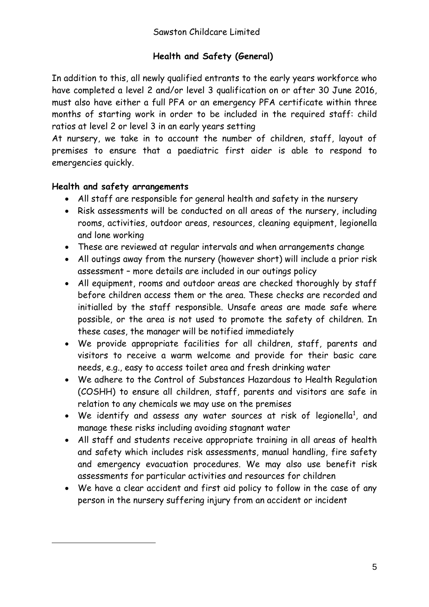In addition to this, all newly qualified entrants to the early years workforce who have completed a level 2 and/or level 3 qualification on or after 30 June 2016, must also have either a full PFA or an emergency PFA certificate within three months of starting work in order to be included in the required staff: child ratios at level 2 or level 3 in an early years setting

At nursery, we take in to account the number of children, staff, layout of premises to ensure that a paediatric first aider is able to respond to emergencies quickly.

#### **Health and safety arrangements**

- All staff are responsible for general health and safety in the nursery
- Risk assessments will be conducted on all areas of the nursery, including rooms, activities, outdoor areas, resources, cleaning equipment, legionella and lone working
- These are reviewed at regular intervals and when arrangements change
- All outings away from the nursery (however short) will include a prior risk assessment – more details are included in our outings policy
- All equipment, rooms and outdoor areas are checked thoroughly by staff before children access them or the area. These checks are recorded and initialled by the staff responsible. Unsafe areas are made safe where possible, or the area is not used to promote the safety of children. In these cases, the manager will be notified immediately
- We provide appropriate facilities for all children, staff, parents and visitors to receive a warm welcome and provide for their basic care needs, e.g., easy to access toilet area and fresh drinking water
- We adhere to the Control of Substances Hazardous to Health Regulation (COSHH) to ensure all children, staff, parents and visitors are safe in relation to any chemicals we may use on the premises
- We identify and assess any water sources at risk of legionella<sup>1</sup>, and manage these risks including avoiding stagnant water
- All staff and students receive appropriate training in all areas of health and safety which includes risk assessments, manual handling, fire safety and emergency evacuation procedures. We may also use benefit risk assessments for particular activities and resources for children
- We have a clear accident and first aid policy to follow in the case of any person in the nursery suffering injury from an accident or incident